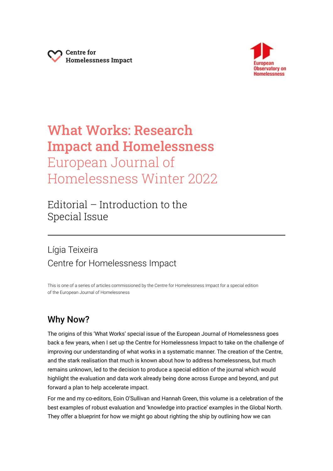



# What Works: Research Impact and Homelessness European Journal of Homelessness Winter 2022

Editorial – Introduction to the Special Issue

# Lígia Teixeira Centre for Homelessness Impact

This is one of a series of articles commissioned by the Centre for Homelessness Impact for a special edition of the European Journal of Homelessness

# Why Now?

The origins of this 'What Works' special issue of the European Journal of Homelessness goes back a few years, when I set up the Centre for Homelessness Impact to take on the challenge of improving our understanding of what works in a systematic manner. The creation of the Centre, and the stark realisation that much is known about how to address homelessness, but much remains unknown, led to the decision to produce a special edition of the journal which would highlight the evaluation and data work already being done across Europe and beyond, and put forward a plan to help accelerate impact.

For me and my co-editors, Eoin O'Sullivan and Hannah Green, this volume is a celebration of the best examples of robust evaluation and 'knowledge into practice' examples in the Global North. They offer a blueprint for how we might go about righting the ship by outlining how we can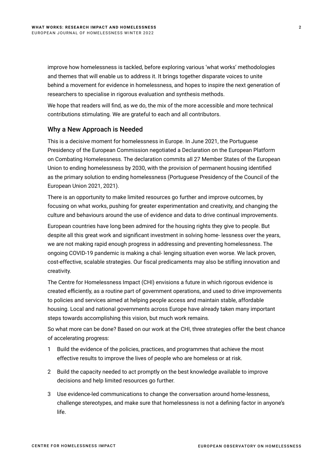improve how homelessness is tackled, before exploring various 'what works' methodologies and themes that will enable us to address it. It brings together disparate voices to unite behind a movement for evidence in homelessness, and hopes to inspire the next generation of researchers to specialise in rigorous evaluation and synthesis methods.

We hope that readers will find, as we do, the mix of the more accessible and more technical contributions stimulating. We are grateful to each and all contributors.

# Why a New Approach is Needed

This is a decisive moment for homelessness in Europe. In June 2021, the Portuguese Presidency of the European Commission negotiated a Declaration on the European Platform on Combating Homelessness. The declaration commits all 27 Member States of the European Union to ending homelessness by 2030, with the provision of permanent housing identified as the primary solution to ending homelessness (Portuguese Presidency of the Council of the European Union 2021, 2021).

There is an opportunity to make limited resources go further and improve outcomes, by focusing on what works, pushing for greater experimentation and creativity, and changing the culture and behaviours around the use of evidence and data to drive continual improvements.

European countries have long been admired for the housing rights they give to people. But despite all this great work and significant investment in solving home- lessness over the years, we are not making rapid enough progress in addressing and preventing homelessness. The ongoing COVID-19 pandemic is making a chal- lenging situation even worse. We lack proven, cost-effective, scalable strategies. Our fiscal predicaments may also be stifling innovation and creativity.

The Centre for Homelessness Impact (CHI) envisions a future in which rigorous evidence is created efficiently, as a routine part of government operations, and used to drive improvements to policies and services aimed at helping people access and maintain stable, affordable housing. Local and national governments across Europe have already taken many important steps towards accomplishing this vision, but much work remains.

So what more can be done? Based on our work at the CHI, three strategies offer the best chance of accelerating progress:

- 1 Build the evidence of the policies, practices, and programmes that achieve the most effective results to improve the lives of people who are homeless or at risk.
- 2 Build the capacity needed to act promptly on the best knowledge available to improve decisions and help limited resources go further.
- 3 Use evidence-led communications to change the conversation around home-lessness, challenge stereotypes, and make sure that homelessness is not a defining factor in anyone's life.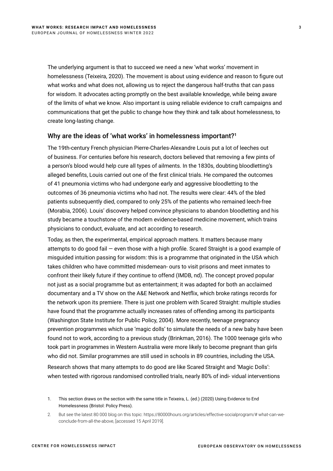The underlying argument is that to succeed we need a new 'what works' movement in homelessness (Teixeira, 2020). The movement is about using evidence and reason to figure out what works and what does not, allowing us to reject the dangerous half-truths that can pass for wisdom. It advocates acting promptly on the best available knowledge, while being aware of the limits of what we know. Also important is using reliable evidence to craft campaigns and communications that get the public to change how they think and talk about homelessness, to create long-lasting change.

#### Why are the ideas of 'what works' in homelessness important?**<sup>1</sup>**

The 19th-century French physician Pierre-Charles-Alexandre Louis put a lot of leeches out of business. For centuries before his research, doctors believed that removing a few pints of a person's blood would help cure all types of ailments. In the 1830s, doubting bloodletting's alleged benefits, Louis carried out one of the first clinical trials. He compared the outcomes of 41 pneumonia victims who had undergone early and aggressive bloodletting to the outcomes of 36 pneumonia victims who had not. The results were clear: 44% of the bled patients subsequently died, compared to only 25% of the patients who remained leech-free (Morabia, 2006). Louis' discovery helped convince physicians to abandon bloodletting and his study became a touchstone of the modern evidence-based medicine movement, which trains physicians to conduct, evaluate, and act according to research.

Today, as then, the experimental, empirical approach matters. It matters because many attempts to do good fail — even those with a high profile. Scared Straight is a good example of misguided intuition passing for wisdom: this is a programme that originated in the USA which takes children who have committed misdemean- ours to visit prisons and meet inmates to confront their likely future if they continue to offend (IMDB, nd). The concept proved popular not just as a social programme but as entertainment; it was adapted for both an acclaimed documentary and a TV show on the A&E Network and Netflix, which broke ratings records for the network upon its premiere. There is just one problem with Scared Straight: multiple studies have found that the programme actually increases rates of offending among its participants (Washington State Institute for Public Policy, 2004). More recently, teenage pregnancy prevention programmes which use 'magic dolls' to simulate the needs of a new baby have been found not to work, according to a previous study (Brinkman, 2016). The 1000 teenage girls who took part in programmes in Western Australia were more likely to become pregnant than girls who did not. Similar programmes are still used in schools in 89 countries, including the USA.

Research shows that many attempts to do good are like Scared Straight and 'Magic Dolls': when tested with rigorous randomised controlled trials, nearly 80% of indi- vidual interventions

<sup>1.</sup> This section draws on the section with the same title in Teixeira, L. (ed.) (2020) Using Evidence to End Homelessness (Bristol: Policy Press).

<sup>2.</sup> But see the latest 80 000 blog on this topic: https://80000hours.org/articles/effective-socialprogram/# what-can-weconclude-from-all-the-above, [accessed 15 April 2019].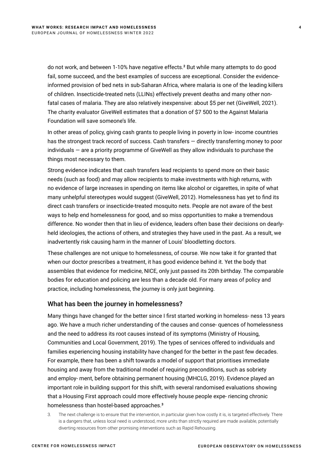do not work, and between 1-10% have negative effects.**<sup>2</sup>** But while many attempts to do good fail, some succeed, and the best examples of success are exceptional. Consider the evidenceinformed provision of bed nets in sub-Saharan Africa, where malaria is one of the leading killers of children. Insecticide-treated nets (LLINs) effectively prevent deaths and many other nonfatal cases of malaria. They are also relatively inexpensive: about \$5 per net (GiveWell, 2021). The charity evaluator GiveWell estimates that a donation of \$7 500 to the Against Malaria Foundation will save someone's life.

In other areas of policy, giving cash grants to people living in poverty in low- income countries has the strongest track record of success. Cash transfers — directly transferring money to poor individuals — are a priority programme of GiveWell as they allow individuals to purchase the things most necessary to them.

Strong evidence indicates that cash transfers lead recipients to spend more on their basic needs (such as food) and may allow recipients to make investments with high returns, with no evidence of large increases in spending on items like alcohol or cigarettes, in spite of what many unhelpful stereotypes would suggest (GiveWell, 2012). Homelessness has yet to find its direct cash transfers or insecticide-treated mosquito nets. People are not aware of the best ways to help end homelessness for good, and so miss opportunities to make a tremendous difference. No wonder then that in lieu of evidence, leaders often base their decisions on dearlyheld ideologies, the actions of others, and strategies they have used in the past. As a result, we inadvertently risk causing harm in the manner of Louis' bloodletting doctors.

These challenges are not unique to homelessness, of course. We now take it for granted that when our doctor prescribes a treatment, it has good evidence behind it. Yet the body that assembles that evidence for medicine, NICE, only just passed its 20th birthday. The comparable bodies for education and policing are less than a decade old. For many areas of policy and practice, including homelessness, the journey is only just beginning.

## What has been the journey in homelessness?

Many things have changed for the better since I first started working in homeless- ness 13 years ago. We have a much richer understanding of the causes and conse- quences of homelessness and the need to address its root causes instead of its symptoms (Ministry of Housing, Communities and Local Government, 2019). The types of services offered to individuals and families experiencing housing instability have changed for the better in the past few decades. For example, there has been a shift towards a model of support that prioritises immediate housing and away from the traditional model of requiring preconditions, such as sobriety and employ- ment, before obtaining permanent housing (MHCLG, 2019). Evidence played an important role in building support for this shift, with several randomised evaluations showing that a Housing First approach could more effectively house people expe- riencing chronic homelessness than hostel-based approaches.**<sup>3</sup>**

The next challenge is to ensure that the intervention, in particular given how costly it is, is targeted effectively. There is a dangers that, unless local need is understood, more units than strictly required are made available, potentially diverting resources from other promising interventions such as Rapid Rehousing.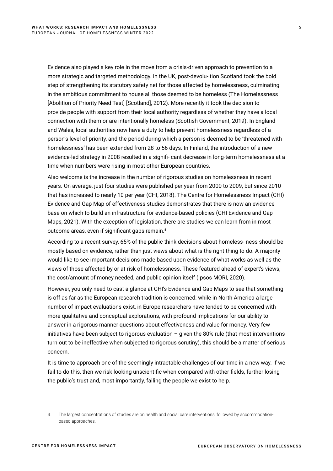Evidence also played a key role in the move from a crisis-driven approach to prevention to a more strategic and targeted methodology. In the UK, post-devolu- tion Scotland took the bold step of strengthening its statutory safety net for those affected by homelessness, culminating in the ambitious commitment to house all those deemed to be homeless (The Homelessness [Abolition of Priority Need Test] [Scotland], 2012). More recently it took the decision to provide people with support from their local authority regardless of whether they have a local connection with them or are intentionally homeless (Scottish Government, 2019). In England and Wales, local authorities now have a duty to help prevent homelessness regardless of a person's level of priority, and the period during which a person is deemed to be 'threatened with homelessness' has been extended from 28 to 56 days. In Finland, the introduction of a new evidence-led strategy in 2008 resulted in a signifi- cant decrease in long-term homelessness at a time when numbers were rising in most other European countries.

Also welcome is the increase in the number of rigorous studies on homelessness in recent years. On average, just four studies were published per year from 2000 to 2009, but since 2010 that has increased to nearly 10 per year (CHI, 2018). The Centre for Homelessness Impact (CHI) Evidence and Gap Map of effectiveness studies demonstrates that there is now an evidence base on which to build an infrastructure for evidence-based policies (CHI Evidence and Gap Maps, 2021). With the exception of legislation, there are studies we can learn from in most outcome areas, even if significant gaps remain.**<sup>4</sup>**

According to a recent survey, 65% of the public think decisions about homeless- ness should be mostly based on evidence, rather than just views about what is the right thing to do. A majority would like to see important decisions made based upon evidence of what works as well as the views of those affected by or at risk of homelessness. These featured ahead of expert's views, the cost/amount of money needed, and public opinion itself (Ipsos MORI, 2020).

However, you only need to cast a glance at CHI's Evidence and Gap Maps to see that something is off as far as the European research tradition is concerned: while in North America a large number of impact evaluations exist, in Europe researchers have tended to be concerned with more qualitative and conceptual explorations, with profound implications for our ability to answer in a rigorous manner questions about effectiveness and value for money. Very few initiatives have been subject to rigorous evaluation  $-$  given the 80% rule (that most interventions turn out to be ineffective when subjected to rigorous scrutiny), this should be a matter of serious concern.

It is time to approach one of the seemingly intractable challenges of our time in a new way. If we fail to do this, then we risk looking unscientific when compared with other fields, further losing the public's trust and, most importantly, failing the people we exist to help.

<sup>4.</sup> The largest concentrations of studies are on health and social care interventions, followed by accommodationbased approaches.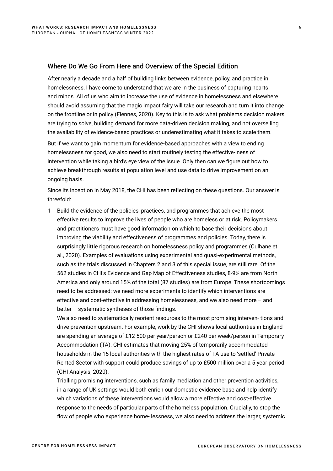### Where Do We Go From Here and Overview of the Special Edition

After nearly a decade and a half of building links between evidence, policy, and practice in homelessness, I have come to understand that we are in the business of capturing hearts and minds. All of us who aim to increase the use of evidence in homelessness and elsewhere should avoid assuming that the magic impact fairy will take our research and turn it into change on the frontline or in policy (Fiennes, 2020). Key to this is to ask what problems decision makers are trying to solve, building demand for more data-driven decision making, and not overselling the availability of evidence-based practices or underestimating what it takes to scale them.

But if we want to gain momentum for evidence-based approaches with a view to ending homelessness for good, we also need to start routinely testing the effective- ness of intervention while taking a bird's eye view of the issue. Only then can we figure out how to achieve breakthrough results at population level and use data to drive improvement on an ongoing basis.

Since its inception in May 2018, the CHI has been reflecting on these questions. Our answer is threefold:

1 Build the evidence of the policies, practices, and programmes that achieve the most effective results to improve the lives of people who are homeless or at risk. Policymakers and practitioners must have good information on which to base their decisions about improving the viability and effectiveness of programmes and policies. Today, there is surprisingly little rigorous research on homelessness policy and programmes (Culhane et al., 2020). Examples of evaluations using experimental and quasi-experimental methods, such as the trials discussed in Chapters 2 and 3 of this special issue, are still rare. Of the 562 studies in CHI's Evidence and Gap Map of Effectiveness studies, 8-9% are from North America and only around 15% of the total (87 studies) are from Europe. These shortcomings need to be addressed: we need more experiments to identify which interventions are effective and cost-effective in addressing homelessness, and we also need more – and better – systematic syntheses of those findings.

We also need to systematically reorient resources to the most promising interven- tions and drive prevention upstream. For example, work by the CHI shows local authorities in England are spending an average of £12 500 per year/person or £240 per week/person in Temporary Accommodation (TA). CHI estimates that moving 25% of temporarily accommodated households in the 15 local authorities with the highest rates of TA use to 'settled' Private Rented Sector with support could produce savings of up to £500 million over a 5-year period (CHI Analysis, 2020).

Trialling promising interventions, such as family mediation and other prevention activities, in a range of UK settings would both enrich our domestic evidence base and help identify which variations of these interventions would allow a more effective and cost-effective response to the needs of particular parts of the homeless population. Crucially, to stop the flow of people who experience home- lessness, we also need to address the larger, systemic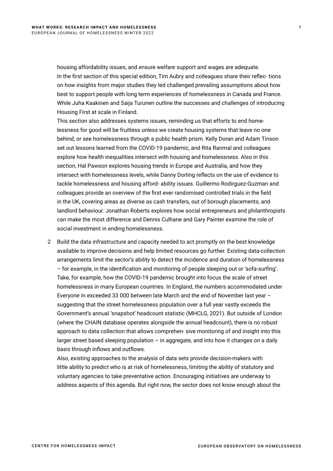housing affordability issues, and ensure welfare support and wages are adequate. In the first section of this special edition, Tim Aubry and colleagues share their reflec- tions on how insights from major studies they led challenged prevailing assumptions about how best to support people with long term experiences of homelessness in Canada and France. While Juha Kaakinen and Saija Turunen outline the successes and challenges of introducing Housing First at scale in Finland.

This section also addresses systems issues, reminding us that efforts to end homelessness for good will be fruitless unless we create housing systems that leave no one behind, or see homelessness through a public health prism. Kelly Doran and Adam Tinson set out lessons learned from the COVID-19 pandemic, and Rita Ranmal and colleagues explore how health inequalities intersect with housing and homelessness. Also in this section, Hal Pawson explores housing trends in Europe and Australia, and how they intersect with homelessness levels, while Danny Dorling reflects on the use of evidence to tackle homelessness and housing afford- ability issues. Guillermo Rodirguez-Guzman and colleagues provide an overview of the first ever randomised controlled trials in the field in the UK, covering areas as diverse as cash transfers, out of borough placements, and landlord behaviour. Jonathan Roberts explores how social entrepreneurs and philanthropists can make the most difference and Dennis Culhane and Gary Painter examine the role of social investment in ending homelessness.

2 Build the data infrastructure and capacity needed to act promptly on the best knowledge available to improve decisions and help limited resources go further. Existing data-collection arrangements limit the sector's ability to detect the incidence and duration of homelessness – for example, in the identification and monitoring of people sleeping out or 'sofa-surfing'. Take, for example, how the COVID-19 pandemic brought into focus the scale of street homelessness in many European countries. In England, the numbers accommodated under Everyone In exceeded 33 000 between late March and the end of November last year – suggesting that the street homelessness population over a full year vastly exceeds the Government's annual 'snapshot' headcount statistic (MHCLG, 2021). But outside of London (where the CHAIN database operates alongside the annual headcount), there is no robust approach to data collection that allows comprehen- sive monitoring of and insight into this larger street based sleeping population – in aggregate, and into how it changes on a daily basis through inflows and outflows.

Also, existing approaches to the analysis of data sets provide decision-makers with little ability to predict who is at risk of homelessness, limiting the ability of statutory and voluntary agencies to take preventative action. Encouraging initiatives are underway to address aspects of this agenda. But right now, the sector does not know enough about the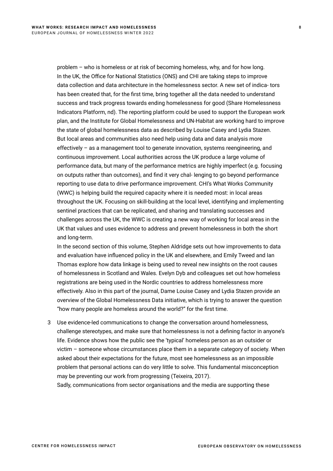problem – who is homeless or at risk of becoming homeless, why, and for how long. In the UK, the Office for National Statistics (ONS) and CHI are taking steps to improve data collection and data architecture in the homelessness sector. A new set of indica- tors has been created that, for the first time, bring together all the data needed to understand success and track progress towards ending homelessness for good (Share Homelessness Indicators Platform, nd). The reporting platform could be used to support the European work plan, and the Institute for Global Homelessness and UN-Habitat are working hard to improve the state of global homelessness data as described by Louise Casey and Lydia Stazen. But local areas and communities also need help using data and data analysis more effectively – as a management tool to generate innovation, systems reengineering, and continuous improvement. Local authorities across the UK produce a large volume of performance data, but many of the performance metrics are highly imperfect (e.g. focusing on outputs rather than outcomes), and find it very chal- lenging to go beyond performance reporting to use data to drive performance improvement. CHI's What Works Community (WWC) is helping build the required capacity where it is needed most: in local areas throughout the UK. Focusing on skill-building at the local level, identifying and implementing sentinel practices that can be replicated, and sharing and translating successes and challenges across the UK, the WWC is creating a new way of working for local areas in the UK that values and uses evidence to address and prevent homelessness in both the short and long-term.

In the second section of this volume, Stephen Aldridge sets out how improvements to data and evaluation have influenced policy in the UK and elsewhere, and Emily Tweed and Ian Thomas explore how data linkage is being used to reveal new insights on the root causes of homelessness in Scotland and Wales. Evelyn Dyb and colleagues set out how homeless registrations are being used in the Nordic countries to address homelessness more effectively. Also in this part of the journal, Dame Louise Casey and Lydia Stazen provide an overview of the Global Homelessness Data initiative, which is trying to answer the question "how many people are homeless around the world?" for the first time.

3 Use evidence-led communications to change the conversation around homelessness, challenge stereotypes, and make sure that homelessness is not a defining factor in anyone's life. Evidence shows how the public see the 'typical' homeless person as an outsider or victim – someone whose circumstances place them in a separate category of society. When asked about their expectations for the future, most see homelessness as an impossible problem that personal actions can do very little to solve. This fundamental misconception may be preventing our work from progressing (Teixeira, 2017). Sadly, communications from sector organisations and the media are supporting these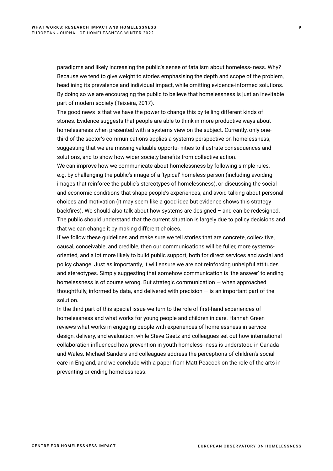paradigms and likely increasing the public's sense of fatalism about homeless- ness. Why? Because we tend to give weight to stories emphasising the depth and scope of the problem, headlining its prevalence and individual impact, while omitting evidence-informed solutions. By doing so we are encouraging the public to believe that homelessness is just an inevitable part of modern society (Teixeira, 2017).

The good news is that we have the power to change this by telling different kinds of stories. Evidence suggests that people are able to think in more productive ways about homelessness when presented with a systems view on the subject. Currently, only onethird of the sector's communications applies a systems perspective on homelessness, suggesting that we are missing valuable opportu- nities to illustrate consequences and solutions, and to show how wider society benefits from collective action.

We can improve how we communicate about homelessness by following simple rules, e.g. by challenging the public's image of a 'typical' homeless person (including avoiding images that reinforce the public's stereotypes of homelessness), or discussing the social and economic conditions that shape people's experiences, and avoid talking about personal choices and motivation (it may seem like a good idea but evidence shows this strategy backfires). We should also talk about how systems are designed – and can be redesigned. The public should understand that the current situation is largely due to policy decisions and that we can change it by making different choices.

If we follow these guidelines and make sure we tell stories that are concrete, collec- tive, causal, conceivable, and credible, then our communications will be fuller, more systemsoriented, and a lot more likely to build public support, both for direct services and social and policy change. Just as importantly, it will ensure we are not reinforcing unhelpful attitudes and stereotypes. Simply suggesting that somehow communication is 'the answer' to ending homelessness is of course wrong. But strategic communication — when approached thoughtfully, informed by data, and delivered with precision — is an important part of the solution.

In the third part of this special issue we turn to the role of first-hand experiences of homelessness and what works for young people and children in care. Hannah Green reviews what works in engaging people with experiences of homelessness in service design, delivery, and evaluation, while Steve Gaetz and colleagues set out how international collaboration influenced how prevention in youth homeless- ness is understood in Canada and Wales. Michael Sanders and colleagues address the perceptions of children's social care in England, and we conclude with a paper from Matt Peacock on the role of the arts in preventing or ending homelessness.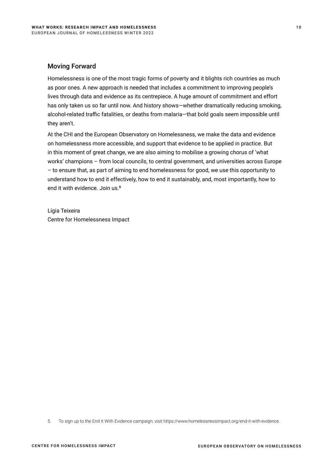# Moving Forward

Homelessness is one of the most tragic forms of poverty and it blights rich countries as much as poor ones. A new approach is needed that includes a commitment to improving people's lives through data and evidence as its centrepiece. A huge amount of commitment and effort has only taken us so far until now. And history shows—whether dramatically reducing smoking, alcohol-related traffic fatalities, or deaths from malaria—that bold goals seem impossible until they aren't.

At the CHI and the European Observatory on Homelessness, we make the data and evidence on homelessness more accessible, and support that evidence to be applied in practice. But in this moment of great change, we are also aiming to mobilise a growing chorus of 'what works' champions – from local councils, to central government, and universities across Europe – to ensure that, as part of aiming to end homelessness for good, we use this opportunity to understand how to end it effectively, how to end it sustainably, and, most importantly, how to end it with evidence. Join us.**<sup>5</sup>**

Lígia Teixeira Centre for Homelessness Impact

5. To sign up to the End It With Evidence campaign, visit https://www.homelessnessimpact.org/end-it-with-evidence.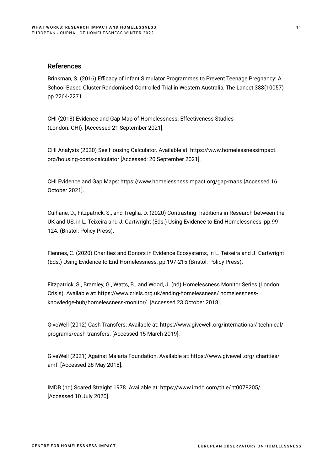## References

Brinkman, S. (2016) Efficacy of Infant Simulator Programmes to Prevent Teenage Pregnancy: A School-Based Cluster Randomised Controlled Trial in Western Australia, The Lancet 388(10057) pp.2264-2271.

CHI (2018) Evidence and Gap Map of Homelessness: Effectiveness Studies (London: CHI). [Accessed 21 September 2021].

CHI Analysis (2020) See Housing Calculator. Available at: https://www.homelessnessimpact. org/housing-costs-calculator [Accessed: 20 September 2021].

CHI Evidence and Gap Maps: https://www.homelessnessimpact.org/gap-maps [Accessed 16 October 2021].

Culhane, D., Fitzpatrick, S., and Treglia, D. (2020) Contrasting Traditions in Research between the UK and US, in L. Teixeira and J. Cartwright (Eds.) Using Evidence to End Homelessness, pp.99- 124. (Bristol: Policy Press).

Fiennes, C. (2020) Charities and Donors in Evidence Ecosystems, in L. Teixeira and J. Cartwright (Eds.) Using Evidence to End Homelessness, pp.197-215 (Bristol: Policy Press).

Fitzpatrick, S., Bramley, G., Watts, B., and Wood, J. (nd) Homelessness Monitor Series (London: Crisis). Available at: https://www.crisis.org.uk/ending-homelessness/ homelessnessknowledge-hub/homelessness-monitor/. [Accessed 23 October 2018].

GiveWell (2012) Cash Transfers. Available at: https://www.givewell.org/international/ technical/ programs/cash-transfers. [Accessed 15 March 2019].

GiveWell (2021) Against Malaria Foundation. Available at: https://www.givewell.org/ charities/ amf. [Accessed 28 May 2018].

IMDB (nd) Scared Straight 1978. Available at: https://www.imdb.com/title/ tt0078205/. [Accessed 10 July 2020].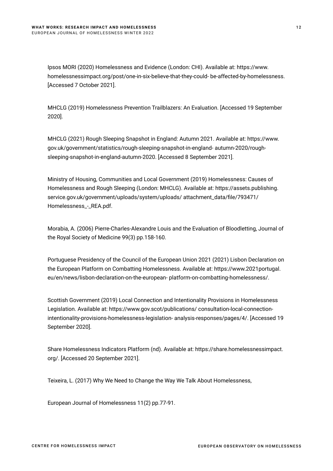Ipsos MORI (2020) Homelessness and Evidence (London: CHI). Available at: https://www. homelessnessimpact.org/post/one-in-six-believe-that-they-could- be-affected-by-homelessness. [Accessed 7 October 2021].

MHCLG (2019) Homelessness Prevention Trailblazers: An Evaluation. [Accessed 19 September 2020].

MHCLG (2021) Rough Sleeping Snapshot in England: Autumn 2021. Available at: https://www. gov.uk/government/statistics/rough-sleeping-snapshot-in-england- autumn-2020/roughsleeping-snapshot-in-england-autumn-2020. [Accessed 8 September 2021].

Ministry of Housing, Communities and Local Government (2019) Homelessness: Causes of Homelessness and Rough Sleeping (London: MHCLG). Available at: https://assets.publishing. service.gov.uk/government/uploads/system/uploads/ attachment\_data/file/793471/ Homelessness\_-\_REA.pdf.

Morabia, A. (2006) Pierre-Charles-Alexandre Louis and the Evaluation of Bloodletting, Journal of the Royal Society of Medicine 99(3) pp.158-160.

Portuguese Presidency of the Council of the European Union 2021 (2021) Lisbon Declaration on the European Platform on Combatting Homelessness. Available at: https://www.2021portugal. eu/en/news/lisbon-declaration-on-the-european- platform-on-combatting-homelessness/.

Scottish Government (2019) Local Connection and Intentionality Provisions in Homelessness Legislation. Available at: https://www.gov.scot/publications/ consultation-local-connectionintentionality-provisions-homelessness-legislation- analysis-responses/pages/4/. [Accessed 19 September 2020].

Share Homelessness Indicators Platform (nd). Available at: https://share.homelessnessimpact. org/. [Accessed 20 September 2021].

Teixeira, L. (2017) Why We Need to Change the Way We Talk About Homelessness,

European Journal of Homelessness 11(2) pp.77-91.